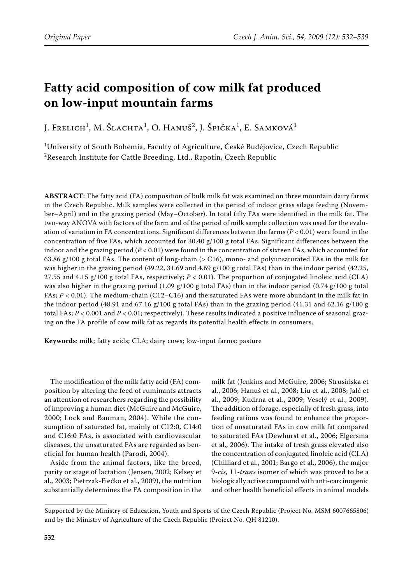# **Fatty acid composition of cow milk fat produced on low-input mountain farms**

J. Frelich<sup>1</sup>, M. Šlachta<sup>1</sup>, O. Hanuš<sup>2</sup>, J. Špička<sup>1</sup>, E. Samková<sup>1</sup>

1 University of South Bohemia, Faculty of Agriculture, České Budějovice, Czech Republic  $^{2}$ Research Institute for Cattle Breeding, Ltd., Rapotín, Czech Republic

**ABSTRACT**: The fatty acid (FA) composition of bulk milk fat was examined on three mountain dairy farms in the Czech Republic. Milk samples were collected in the period of indoor grass silage feeding (November–April) and in the grazing period (May–October). In total fifty FAs were identified in the milk fat. The two-way ANOVA with factors of the farm and of the period of milk sample collection was used for the evaluation of variation in FA concentrations. Significant differences between the farms (*P* < 0.01) were found in the concentration of five FAs, which accounted for  $30.40 \text{ g}/100 \text{ g}$  total FAs. Significant differences between the indoor and the grazing period  $(P < 0.01)$  were found in the concentration of sixteen FAs, which accounted for 63.86 g/100 g total FAs. The content of long-chain (> C16), mono- and polyunsaturated FAs in the milk fat was higher in the grazing period (49.22, 31.69 and 4.69 g/100 g total FAs) than in the indoor period (42.25, 27.55 and 4.15  $g/100 g$  total FAs, respectively;  $P < 0.01$ ). The proportion of conjugated linoleic acid (CLA) was also higher in the grazing period (1.09 g/100 g total FAs) than in the indoor period (0.74 g/100 g total FAs; *P* < 0.01). The medium-chain (C12–C16) and the saturated FAs were more abundant in the milk fat in the indoor period (48.91 and 67.16 g/100 g total FAs) than in the grazing period (41.31 and 62.16 g/100 g total FAs; *P* < 0.001 and *P* < 0.01; respectively). These results indicated a positive influence of seasonal grazing on the FA profile of cow milk fat as regards its potential health effects in consumers.

**Keywords**: milk; fatty acids; CLA; dairy cows; low-input farms; pasture

The modification of the milk fatty acid (FA) composition by altering the feed of ruminants attracts an attention of researchers regarding the possibility of improving a human diet (McGuire and McGuire, 2000; Lock and Bauman, 2004). While the consumption of saturated fat, mainly of C12:0, C14:0 and C16:0 FAs, is associated with cardiovascular diseases, the unsaturated FAs are regarded as beneficial for human health (Parodi, 2004).

Aside from the animal factors, like the breed, parity or stage of lactation (Jensen, 2002; Kelsey et al., 2003; Pietrzak-Fiećko et al., 2009), the nutrition substantially determines the FA composition in the milk fat (Jenkins and McGuire, 2006; Strusińska et al., 2006; Hanuš et al., 2008; Liu et al., 2008; Jalč et al., 2009; Kudrna et al., 2009; Veselý et al., 2009). The addition of forage, especially of fresh grass, into feeding rations was found to enhance the proportion of unsaturated FAs in cow milk fat compared to saturated FAs (Dewhurst et al., 2006; Elgersma et al., 2006). The intake of fresh grass elevated also the concentration of conjugated linoleic acid (CLA) (Chilliard et al., 2001; Bargo et al., 2006), the major 9-*cis*, 11-*trans* isomer of which was proved to be a biologically active compound with anti-carcinogenic and other health beneficial effects in animal models

Supported by the Ministry of Education, Youth and Sports of the Czech Republic (Project No. MSM 6007665806) and by the Ministry of Agriculture of the Czech Republic (Project No. QH 81210).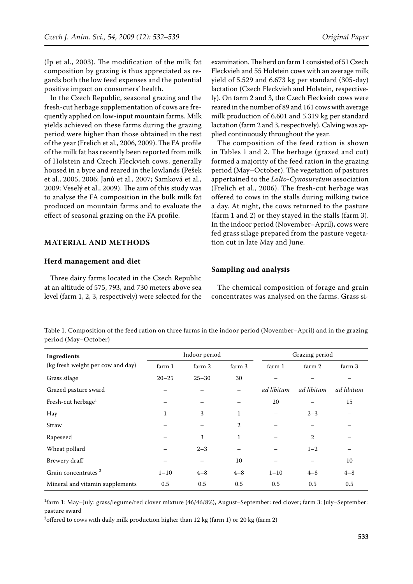(Ip et al., 2003). The modification of the milk fat composition by grazing is thus appreciated as regards both the low feed expenses and the potential positive impact on consumers' health.

In the Czech Republic, seasonal grazing and the fresh-cut herbage supplementation of cows are frequently applied on low-input mountain farms. Milk yields achieved on these farms during the grazing period were higher than those obtained in the rest of the year (Frelich et al., 2006, 2009). The FA profile of the milk fat has recently been reported from milk of Holstein and Czech Fleckvieh cows, generally housed in a byre and reared in the lowlands (Pešek et al., 2005, 2006; Janů et al., 2007; Samková et al., 2009; Veselý et al., 2009). The aim of this study was to analyse the FA composition in the bulk milk fat produced on mountain farms and to evaluate the effect of seasonal grazing on the FA profile.

# **MATERIAL AND METHODS**

#### **Herd management and diet**

Three dairy farms located in the Czech Republic at an altitude of 575, 793, and 730 meters above sea level (farm 1, 2, 3, respectively) were selected for the

examination. The herd on farm 1 consisted of 51 Czech Fleckvieh and 55 Holstein cows with an average milk yield of 5.529 and 6.673 kg per standard (305-day) lactation (Czech Fleckvieh and Holstein, respectively). On farm 2 and 3, the Czech Fleckvieh cows were reared in the number of 89 and 161 cows with average milk production of 6.601 and 5.319 kg per standard lactation (farm 2 and 3, respectively). Calving was applied continuously throughout the year.

The composition of the feed ration is shown in Tables 1 and 2. The herbage (grazed and cut) formed a majority of the feed ration in the grazing period (May–October). The vegetation of pastures appertained to the *Lolio-Cynosuretum* association (Frelich et al., 2006). The fresh-cut herbage was offered to cows in the stalls during milking twice a day. At night, the cows returned to the pasture (farm 1 and 2) or they stayed in the stalls (farm 3). In the indoor period (November–April), cows were fed grass silage prepared from the pasture vegetation cut in late May and June.

### **Sampling and analysis**

The chemical composition of forage and grain concentrates was analysed on the farms. Grass si-

Table 1. Composition of the feed ration on three farms in the indoor period (November–April) and in the grazing period (May–October)

| Ingredients                       |           | Indoor period |              |            | Grazing period |            |  |
|-----------------------------------|-----------|---------------|--------------|------------|----------------|------------|--|
| (kg fresh weight per cow and day) | farm 1    | farm 2        | farm 3       | farm 1     | farm 2         | farm 3     |  |
| Grass silage                      | $20 - 25$ | $25 - 30$     | 30           |            |                |            |  |
| Grazed pasture sward              |           |               |              | ad libitum | ad libitum     | ad libitum |  |
| Fresh-cut herbage <sup>1</sup>    |           |               |              | 20         |                | 15         |  |
| Hay                               | 1         | 3             | $\mathbf{1}$ |            | $2 - 3$        |            |  |
| Straw                             |           | —             | 2            |            |                |            |  |
| Rapeseed                          |           | 3             | $\mathbf{1}$ |            | $\overline{2}$ |            |  |
| Wheat pollard                     |           | $2 - 3$       |              |            | $1 - 2$        |            |  |
| Brewery draff                     |           |               | 10           |            |                | 10         |  |
| Grain concentrates <sup>2</sup>   | $1 - 10$  | $4 - 8$       | $4 - 8$      | $1 - 10$   | $4 - 8$        | $4 - 8$    |  |
| Mineral and vitamin supplements   | 0.5       | 0.5           | 0.5          | 0.5        | 0.5            | 0.5        |  |

1 farm 1: May–July: grass/legume/red clover mixture (46/46/8%), August–September: red clover; farm 3: July–September: pasture sward

<sup>2</sup>offered to cows with daily milk production higher than 12 kg (farm 1) or 20 kg (farm 2)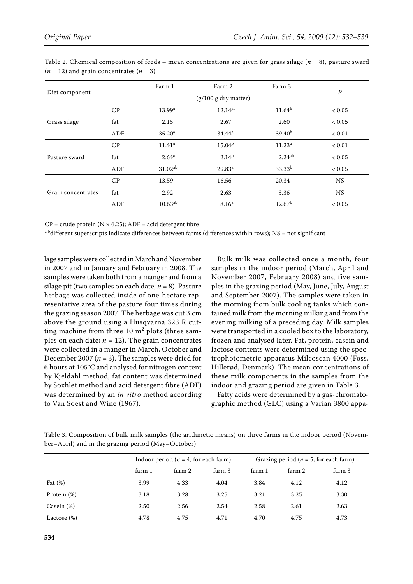| Diet component     |     | Farm 1<br>Farm 2       |                    | Farm 3             |            |  |
|--------------------|-----|------------------------|--------------------|--------------------|------------|--|
|                    |     | $(g/100 g$ dry matter) | $\boldsymbol{P}$   |                    |            |  |
|                    | CP  | 13.99 <sup>a</sup>     | $12.14^{ab}$       | $11.64^b$          | ${}< 0.05$ |  |
| Grass silage       | fat | 2.15                   | 2.67               | 2.60               | ${}< 0.05$ |  |
|                    | ADF | 35.20 <sup>a</sup>     | $34.44^a$          | 39.40 <sup>b</sup> | ${}< 0.01$ |  |
| Pasture sward      | CP  | $11.41^a$              | $15.04^{b}$        | 11.23 <sup>a</sup> | ${}< 0.01$ |  |
|                    | fat | $2.64^{\rm a}$         | $2.14^{b}$         | $2.24^{ab}$        | < 0.05     |  |
|                    | ADF | $31.02^{ab}$           | 29.83 <sup>a</sup> | 33.33 <sup>b</sup> | ${}< 0.05$ |  |
| Grain concentrates | CP  | 13.59                  | 16.56              | 20.34              | <b>NS</b>  |  |
|                    | fat | 2.92                   | 2.63               | 3.36               | <b>NS</b>  |  |
|                    | ADF | $10.63^{ab}$           | 8.16 <sup>a</sup>  | 12.67 <sup>b</sup> | < 0.05     |  |

Table 2. Chemical composition of feeds – mean concentrations are given for grass silage (*n* = 8), pasture sward  $(n = 12)$  and grain concentrates  $(n = 3)$ 

 $CP = \text{crude protein (N} \times 6.25)$ ; ADF = acid detergent fibre

 $a,b$  different superscripts indicate differences between farms (differences within rows); NS = not significant

lage samples were collected in March and November in 2007 and in January and February in 2008. The samples were taken both from a manger and from a silage pit (two samples on each date; *n* = 8). Pasture herbage was collected inside of one-hectare representative area of the pasture four times during the grazing season 2007. The herbage was cut 3 cm above the ground using a Husqvarna 323 R cutting machine from three  $10 \text{ m}^2$  plots (three samples on each date;  $n = 12$ ). The grain concentrates were collected in a manger in March, October and December 2007 ( $n = 3$ ). The samples were dried for 6 hours at 105°C and analysed for nitrogen content by Kjeldahl method, fat content was determined by Soxhlet method and acid detergent fibre (ADF) was determined by an *in vitro* method according to Van Soest and Wine (1967).

Bulk milk was collected once a month, four samples in the indoor period (March, April and November 2007, February 2008) and five samples in the grazing period (May, June, July, August and September 2007). The samples were taken in the morning from bulk cooling tanks which contained milk from the morning milking and from the evening milking of a preceding day. Milk samples were transported in a cooled box to the laboratory, frozen and analysed later. Fat, protein, casein and lactose contents were determined using the spectrophotometric apparatus Milcoscan 4000 (Foss, Hillerød, Denmark). The mean concentrations of these milk components in the samples from the indoor and grazing period are given in Table 3.

Fatty acids were determined by a gas-chromatographic method (GLC) using a Varian 3800 appa-

Table 3. Composition of bulk milk samples (the arithmetic means) on three farms in the indoor period (November–April) and in the grazing period (May–October)

|                |        | Indoor period ( $n = 4$ , for each farm) |        | Grazing period ( $n = 5$ , for each farm) |        |        |  |
|----------------|--------|------------------------------------------|--------|-------------------------------------------|--------|--------|--|
|                | farm 1 | farm 2                                   | farm 3 | farm 1                                    | farm 2 | farm 3 |  |
| Fat $(\%)$     | 3.99   | 4.33                                     | 4.04   | 3.84                                      | 4.12   | 4.12   |  |
| Protein (%)    | 3.18   | 3.28                                     | 3.25   | 3.21                                      | 3.25   | 3.30   |  |
| Casein $(\%)$  | 2.50   | 2.56                                     | 2.54   | 2.58                                      | 2.61   | 2.63   |  |
| Lactose $(\%)$ | 4.78   | 4.75                                     | 4.71   | 4.70                                      | 4.75   | 4.73   |  |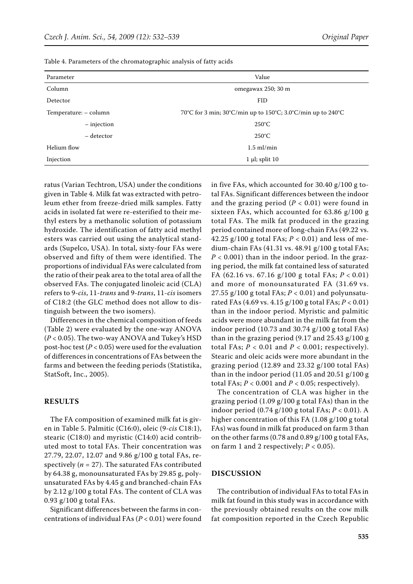| Parameter             |               | Value                                                       |
|-----------------------|---------------|-------------------------------------------------------------|
| Column                |               | omegawax 250; 30 m                                          |
| Detector              |               | <b>FID</b>                                                  |
| Temperature: - column |               | 70°C for 3 min; 30°C/min up to 150°C; 3.0°C/min up to 240°C |
|                       | $-$ injection | $250^{\circ}$ C                                             |
|                       | – detector    | $250^{\circ}$ C                                             |
| Helium flow           |               | $1.5$ ml/min                                                |
| Injection             |               | $1 \mu$ ; split $10 \mu$                                    |

Table 4. Parameters of the chromatographic analysis of fatty acids

ratus (Varian Techtron, USA) under the conditions given in Table 4. Milk fat was extracted with petroleum ether from freeze-dried milk samples. Fatty acids in isolated fat were re-esterified to their methyl esters by a methanolic solution of potassium hydroxide. The identification of fatty acid methyl esters was carried out using the analytical standards (Supelco, USA). In total, sixty-four FAs were observed and fifty of them were identified. The proportions of individual FAs were calculated from the ratio of their peak area to the total area of all the observed FAs. The conjugated linoleic acid (CLA) refers to 9-*cis*, 11-*trans* and 9-*trans*, 11-*cis* isomers of C18:2 (the GLC method does not allow to distinguish between the two isomers).

Differences in the chemical composition of feeds (Table 2) were evaluated by the one-way ANOVA (*P* < 0.05). The two-way ANOVA and Tukey's HSD post-hoc test ( $P < 0.05$ ) were used for the evaluation of differences in concentrations of FAs between the farms and between the feeding periods (Statistika, StatSoft, Inc., 2005).

#### **RESULTS**

The FA composition of examined milk fat is given in Table 5. Palmitic (C16:0), oleic (9-*cis* C18:1), stearic (C18:0) and myristic (C14:0) acid contributed most to total FAs. Their concentration was 27.79, 22.07, 12.07 and 9.86 g/100 g total FAs, respectively  $(n = 27)$ . The saturated FAs contributed by 64.38 g, monounsaturated FAs by 29.85 g, polyunsaturated FAs by 4.45 g and branched-chain FAs by 2.12 g/100 g total FAs. The content of CLA was 0.93 g/100 g total FAs.

Significant differences between the farms in concentrations of individual FAs (*P* < 0.01) were found in five FAs, which accounted for 30.40 g/100 g total FAs. Significant differences between the indoor and the grazing period  $(P < 0.01)$  were found in sixteen FAs, which accounted for 63.86 g/100 g total FAs. The milk fat produced in the grazing period contained more of long-chain FAs (49.22 vs. 42.25 g/100 g total FAs; *P* < 0.01) and less of medium-chain FAs (41.31 vs. 48.91 g/100 g total FAs;  $P < 0.001$ ) than in the indoor period. In the grazing period, the milk fat contained less of saturated FA (62.16 vs. 67.16 g/100 g total FAs; *P* < 0.01) and more of monounsaturated FA (31.69 vs. 27.55  $g/100 g$  total FAs;  $P < 0.01$ ) and polyunsaturated FAs (4.69 vs. 4.15 g/100 g total FAs; *P* < 0.01) than in the indoor period. Myristic and palmitic acids were more abundant in the milk fat from the indoor period (10.73 and 30.74 g/100 g total FAs) than in the grazing period (9.17 and 25.43 g/100 g total FAs;  $P < 0.01$  and  $P < 0.001$ ; respectively). Stearic and oleic acids were more abundant in the grazing period (12.89 and 23.32 g/100 total FAs) than in the indoor period (11.05 and 20.51 g/100 g total FAs;  $P < 0.001$  and  $P < 0.05$ ; respectively).

The concentration of CLA was higher in the grazing period (1.09 g/100 g total FAs) than in the indoor period (0.74 g/100 g total FAs; *P* < 0.01). A higher concentration of this FA (1.08 g/100 g total FAs) was found in milk fat produced on farm 3 than on the other farms (0.78 and 0.89 g/100 g total FAs, on farm 1 and 2 respectively;  $P < 0.05$ ).

### **DISCUSSION**

The contribution of individual FAs to total FAs in milk fat found in this study was in accordance with the previously obtained results on the cow milk fat composition reported in the Czech Republic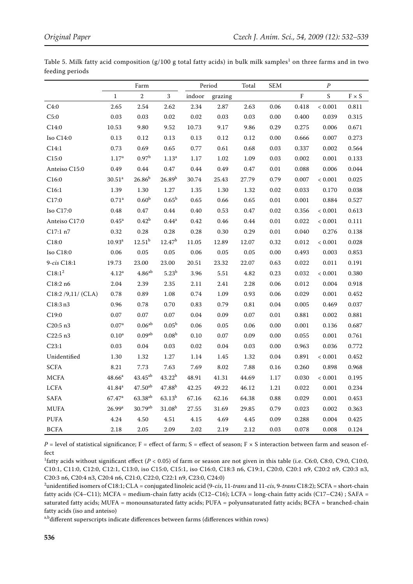| 70 T                  |                      |                      |                    |          |          |            |          |       |             |                              |
|-----------------------|----------------------|----------------------|--------------------|----------|----------|------------|----------|-------|-------------|------------------------------|
|                       | Farm                 |                      | Period             |          | Total    | <b>SEM</b> | $\cal P$ |       |             |                              |
|                       | $\mathbf 1$          | $\overline{2}$       | $\overline{3}$     | indoor   | grazing  |            |          | F     | S           | $\texttt{F}\times\texttt{S}$ |
| C4:0                  | 2.65                 | 2.54                 | 2.62               | 2.34     | 2.87     | 2.63       | 0.06     | 0.418 | < 0.001     | 0.811                        |
| C5:0                  | 0.03                 | 0.03                 | 0.02               | 0.02     | 0.03     | 0.03       | 0.00     | 0.400 | 0.039       | 0.315                        |
| C14:0                 | $10.53\,$            | 9.80                 | 9.52               | 10.73    | 9.17     | 9.86       | 0.29     | 0.275 | 0.006       | 0.671                        |
| Iso C14:0             | 0.13                 | 0.12                 | 0.13               | 0.13     | 0.12     | 0.12       | 0.00     | 0.666 | 0.007       | 0.273                        |
| C14:1                 | 0.73                 | 0.69                 | 0.65               | 0.77     | 0.61     | 0.68       | 0.03     | 0.337 | 0.002       | 0.564                        |
| C15:0                 | 1.17 <sup>a</sup>    | 0.97 <sup>b</sup>    | 1.13 <sup>a</sup>  | 1.17     | 1.02     | 1.09       | 0.03     | 0.002 | 0.001       | 0.133                        |
| Anteiso C15:0         | 0.49                 | 0.44                 | 0.47               | 0.44     | 0.49     | 0.47       | 0.01     | 0.088 | 0.006       | 0.044                        |
| C16:0                 | 30.51 <sup>a</sup>   | $26.86^{b}$          | $26.89^{b}$        | 30.74    | 25.43    | 27.79      | 0.79     | 0.007 | < 0.001     | 0.025                        |
| C16:1                 | 1.39                 | 1.30                 | 1.27               | 1.35     | 1.30     | 1.32       | 0.02     | 0.033 | 0.170       | 0.038                        |
| C17:0                 | $0.71^{\rm a}$       | 0.60 <sup>b</sup>    | $0.65^{\rm b}$     | 0.65     | 0.66     | 0.65       | 0.01     | 0.001 | 0.884       | 0.527                        |
| Iso C17:0             | 0.48                 | 0.47                 | 0.44               | 0.40     | 0.53     | 0.47       | 0.02     | 0.356 | ${}< 0.001$ | 0.613                        |
| Anteiso C17:0         | 0.45 <sup>a</sup>    | $0.42^{\rm b}$       | $0.44^{a}$         | 0.42     | 0.46     | 0.44       | $0.01\,$ | 0.022 | < 0.001     | 0.111                        |
| C17:1 n7              | 0.32                 | 0.28                 | 0.28               | 0.28     | $0.30\,$ | 0.29       | $0.01\,$ | 0.040 | 0.276       | 0.138                        |
| C18:0                 | $10.93^{\rm a}$      | $12.51^{b}$          | 12.47 <sup>b</sup> | 11.05    | 12.89    | 12.07      | 0.32     | 0.012 | < 0.001     | 0.028                        |
| Iso C18:0             | 0.06                 | 0.05                 | 0.05               | 0.06     | $0.05\,$ | 0.05       | $0.00\,$ | 0.493 | 0.003       | 0.853                        |
| 9-cis C18:1           | 19.73                | 23.00                | 23.00              | 20.51    | 23.32    | 22.07      | 0.63     | 0.022 | 0.011       | 0.191                        |
| $\rm{C}18\text{:}1^2$ | 4.12 <sup>a</sup>    | $4.86$ <sup>ab</sup> | $5.23^{b}$         | 3.96     | 5.51     | 4.82       | 0.23     | 0.032 | < 0.001     | 0.380                        |
| C18:2n6               | 2.04                 | 2.39                 | 2.35               | 2.11     | 2.41     | 2.28       | 0.06     | 0.012 | 0.004       | 0.918                        |
| C18:2 / 9,11 / (CLA)  | 0.78                 | 0.89                 | 1.08               | 0.74     | 1.09     | 0.93       | 0.06     | 0.029 | 0.001       | 0.452                        |
| C18:3n3               | 0.96                 | 0.78                 | 0.70               | 0.83     | 0.79     | 0.81       | 0.04     | 0.005 | 0.469       | 0.037                        |
| C19:0                 | 0.07                 | 0.07                 | 0.07               | 0.04     | 0.09     | $0.07\,$   | $0.01\,$ | 0.881 | 0.002       | 0.881                        |
| C20:5 n3              | 0.07 <sup>a</sup>    | $0.06^{\rm ab}$      | $0.05^{\rm b}$     | $0.06\,$ | $0.05\,$ | $0.06\,$   | $0.00\,$ | 0.001 | 0.136       | 0.687                        |
| C22:5n3               | 0.10 <sup>a</sup>    | 0.09 <sup>ab</sup>   | 0.08 <sup>b</sup>  | 0.10     | 0.07     | 0.09       | 0.00     | 0.055 | 0.001       | 0.761                        |
| C23:1                 | 0.03                 | $0.04\,$             | $0.03\,$           | 0.02     | $0.04\,$ | $0.03\,$   | $0.00\,$ | 0.963 | 0.036       | 0.772                        |
| Unidentified          | 1.30                 | 1.32                 | 1.27               | 1.14     | 1.45     | 1.32       | $0.04\,$ | 0.891 | < 0.001     | 0.452                        |
| <b>SCFA</b>           | 8.21                 | 7.73                 | 7.63               | 7.69     | 8.02     | 7.88       | $0.16\,$ | 0.260 | 0.898       | 0.968                        |
| <b>MCFA</b>           | $48.66^{\rm a}$      | $43.45^{ab}$         | $43.22^{b}$        | 48.91    | 41.31    | 44.69      | 1.17     | 0.030 | < 0.001     | 0.195                        |
| <b>LCFA</b>           | $41.84^{\rm a}$      | $47.50^{ab}$         | $47.88^{b}$        | 42.25    | 49.22    | 46.12      | $1.21\,$ | 0.022 | 0.001       | 0.234                        |
| <b>SAFA</b>           | $67.47$ <sup>a</sup> | $63.38^{ab}$         | $63.13^{b}$        | 67.16    | 62.16    | 64.38      | 0.88     | 0.029 | 0.001       | 0.453                        |
| <b>MUFA</b>           | 26.99a               | $30.79^{ab}$         | $31.08^{b}$        | 27.55    | 31.69    | 29.85      | 0.79     | 0.023 | 0.002       | 0.363                        |
| <b>PUFA</b>           | 4.24                 | 4.50                 | 4.51               | 4.15     | 4.69     | 4.45       | 0.09     | 0.288 | 0.004       | 0.425                        |
| <b>BCFA</b>           | 2.18                 | 2.05                 | 2.09               | 2.02     | 2.19     | 2.12       | 0.03     | 0.078 | 0.008       | 0.124                        |

Table 5. Milk fatty acid composition (g/100 g total fatty acids) in bulk milk samples $^1$  on three farms and in two feeding periods

 $P =$  level of statistical significance; F = effect of farm; S = effect of season; F × S interaction between farm and season effect

<sup>1</sup>fatty acids without significant effect ( $P < 0.05$ ) of farm or season are not given in this table (i.e. C6:0, C8:0, C9:0, C10:0, C10:1, C11:0, C12:0, C12:1, C13:0, iso C15:0, C15:1, iso C16:0, C18:3 n6, C19:1, C20:0, C20:1 n9, C20:2 n9, C20:3 n3, C20:3 n6, C20:4 n3, C20:4 n6, C21:0, C22:0, C22:1 n9, C23:0, C24:0)

2 unidentified isomers of C18:1; CLA = conjugated linoleic acid (9-*cis*, 11-*trans* and 11-*cis*, 9-*trans* C18:2); SCFA = short-chain fatty acids (C4–C11); MCFA = medium-chain fatty acids (C12–C16); LCFA = long-chain fatty acids (C17–C24) ; SAFA = saturated fatty acids; MUFA = monounsaturated fatty acids; PUFA = polyunsaturated fatty acids; BCFA = branched-chain fatty acids (iso and anteiso)

a,bdifferent superscripts indicate differences between farms (differences within rows)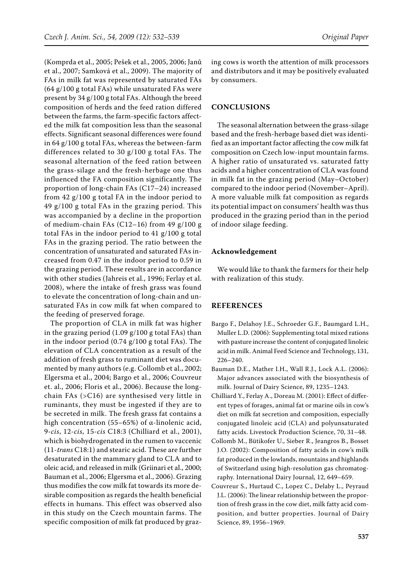(Komprda et al., 2005; Pešek et al., 2005, 2006; Janů et al., 2007; Samková et al., 2009). The majority of FAs in milk fat was represented by saturated FAs (64 g/100 g total FAs) while unsaturated FAs were present by 34 g/100 g total FAs. Although the breed composition of herds and the feed ration differed between the farms, the farm-specific factors affected the milk fat composition less than the seasonal effects. Significant seasonal differences were found in 64 g/100 g total FAs, whereas the between-farm differences related to 30 g/100 g total FAs. The seasonal alternation of the feed ration between the grass-silage and the fresh-herbage one thus influenced the FA composition significantly. The proportion of long-chain FAs (C17–24) increased from 42 g/100 g total FA in the indoor period to 49 g/100 g total FAs in the grazing period. This was accompanied by a decline in the proportion of medium-chain FAs (C12–16) from 49 g/100 g total FAs in the indoor period to 41 g/100 g total FAs in the grazing period. The ratio between the concentration of unsaturated and saturated FAs increased from 0.47 in the indoor period to 0.59 in the grazing period. These results are in accordance with other studies (Jahreis et al., 1996; Ferlay et al. 2008), where the intake of fresh grass was found to elevate the concentration of long-chain and unsaturated FAs in cow milk fat when compared to the feeding of preserved forage.

The proportion of CLA in milk fat was higher in the grazing period (1.09 g/100 g total FAs) than in the indoor period (0.74 g/100 g total FAs). The elevation of CLA concentration as a result of the addition of fresh grass to ruminant diet was documented by many authors (e.g. Collomb et al., 2002; Elgersma et al., 2004; Bargo et al., 2006; Couvreur et. al., 2006; Floris et al., 2006). Because the longchain FAs (>C16) are synthesised very little in ruminants, they must be ingested if they are to be secreted in milk. The fresh grass fat contains a high concentration (55–65%) of α-linolenic acid, 9-*cis*, 12-*cis*, 15-*cis* C18:3 (Chilliard et al., 2001), which is biohydrogenated in the rumen to vaccenic (11-*trans* C18:1) and stearic acid. These are further desaturated in the mammary gland to CLA and to oleic acid, and released in milk (Griinari et al., 2000; Bauman et al., 2006; Elgersma et al., 2006). Grazing thus modifies the cow milk fat towards its more desirable composition as regards the health beneficial effects in humans. This effect was observed also in this study on the Czech mountain farms. The specific composition of milk fat produced by grazing cows is worth the attention of milk processors and distributors and it may be positively evaluated by consumers.

## **CONCLUSIONS**

The seasonal alternation between the grass-silage based and the fresh-herbage based diet was identified as an important factor affecting the cow milk fat composition on Czech low-input mountain farms. A higher ratio of unsaturated vs. saturated fatty acids and a higher concentration of CLA was found in milk fat in the grazing period (May–October) compared to the indoor period (November–April). A more valuable milk fat composition as regards its potential impact on consumers' health was thus produced in the grazing period than in the period of indoor silage feeding.

#### **Acknowledgement**

We would like to thank the farmers for their help with realization of this study.

#### **REFERENCES**

- Bargo F., Delahoy J.E., Schroeder G.F., Baumgard L.H., Muller L.D. (2006): Supplementing total mixed rations with pasture increase the content of conjugated linoleic acid in milk. Animal Feed Science and Technology, 131, 226–240.
- Bauman D.E., Mather I.H., Wall R.J., Lock A.L. (2006): Major advances associated with the biosynthesis of milk. Journal of Dairy Science, 89, 1235–1243.
- Chilliard Y., Ferlay A., Doreau M. (2001): Effect of different types of forages, animal fat or marine oils in cow's diet on milk fat secretion and composition, especially conjugated linoleic acid (CLA) and polyunsaturated fatty acids. Livestock Production Science, 70, 31–48.
- Collomb M., Bütikofer U., Sieber R., Jeangros B., Bosset J.O. (2002): Composition of fatty acids in cow's milk fat produced in the lowlands, mountains and highlands of Switzerland using high-resolution gas chromatography. International Dairy Journal, 12, 649–659.
- Couvreur S., Hurtaud C., Lopez C., Delaby L., Peyraud J.L. (2006): The linear relationship between the proportion of fresh grass in the cow diet, milk fatty acid composition, and butter properties. Journal of Dairy Science, 89, 1956–1969.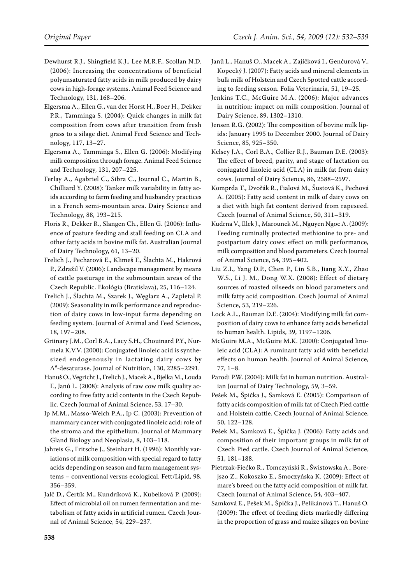- Dewhurst R.J., Shingfield K.J., Lee M.R.F., Scollan N.D. (2006): Increasing the concentrations of beneficial polyunsaturated fatty acids in milk produced by dairy cows in high-forage systems. Animal Feed Science and Technology, 131, 168–206.
- Elgersma A., Ellen G., van der Horst H., Boer H., Dekker P.R., Tamminga S. (2004): Quick changes in milk fat composition from cows after transition from fresh grass to a silage diet. Animal Feed Science and Technology, 117, 13–27.
- Elgersma A., Tamminga S., Ellen G. (2006): Modifying milk composition through forage. Animal Feed Science and Technology, 131, 207–225.
- Ferlay A., Agabriel C., Sibra C., Journal C., Martin B., Chilliard Y. (2008): Tanker milk variability in fatty acids according to farm feeding and husbandry practices in a French semi-mountain area. Dairy Science and Technology, 88, 193–215.
- Floris R., Dekker R., Slangen Ch., Ellen G. (2006): Influence of pasture feeding and stall feeding on CLA and other fatty acids in bovine milk fat. Australian Journal of Dairy Technology, 61, 13–20.
- Frelich J., Pecharová E., Klimeš F., Šlachta M., Hakrová P., Zdražil V. (2006): Landscape management by means of cattle pasturage in the submountain areas of the Czech Republic. Ekológia (Bratislava), 25, 116–124.
- Frelich J., Šlachta M., Szarek J., Węglarz A., Zapletal P. (2009): Seasonality in milk performance and reproduction of dairy cows in low-input farms depending on feeding system. Journal of Animal and Feed Sciences, 18, 197–208.
- Griinary J.M., Corl B.A., Lacy S.H., Chouinard P.Y., Nurmela K.V.V. (2000): Conjugated linoleic acid is synthesized endogenously in lactating dairy cows by ∆9 -desaturase. Journal of Nutrition, 130, 2285–2291.
- Hanuš O., Vegricht J., Frelich J., Macek A., Bjelka M., Louda F., Janů L. (2008): Analysis of raw cow milk quality according to free fatty acid contents in the Czech Republic. Czech Journal of Animal Science, 53, 17–30.
- Ip M.M., Masso-Welch P.A., Ip C. (2003): Prevention of mammary cancer with conjugated linoleic acid: role of the stroma and the epithelium. Journal of Mammary Gland Biology and Neoplasia, 8, 103–118.
- Jahreis G., Fritsche J., Steinhart H. (1996): Monthly variations of milk composition with special regard to fatty acids depending on season and farm management systems – conventional versus ecological. Fett/Lipid, 98, 356–359.
- Jalč D., Čertík M., Kundríková K., Kubelková P. (2009): Effect of microbial oil on rumen fermentation and metabolism of fatty acids in artificial rumen. Czech Journal of Animal Science, 54, 229–237.
- Janů L., Hanuš O., Macek A., Zajíčková I., Genčurová V., Kopecký J. (2007): Fatty acids and mineral elements in bulk milk of Holstein and Czech Spotted cattle according to feeding season. Folia Veterinaria, 51, 19–25.
- Jenkins T.C., McGuire M.A. (2006): Major advances in nutrition: impact on milk composition. Journal of Dairy Science, 89, 1302–1310.
- Jensen R.G. (2002): The composition of bovine milk lipids: January 1995 to December 2000. Journal of Dairy Science, 85, 925–350.
- Kelsey J.A., Corl B.A., Collier R.J., Bauman D.E. (2003): The effect of breed, parity, and stage of lactation on conjugated linoleic acid (CLA) in milk fat from dairy cows. Journal of Dairy Science, 86, 2588–2597.
- Komprda T., Dvořák R., Fialová M., Šustová K., Pechová A. (2005): Fatty acid content in milk of dairy cows on a diet with high fat content derived from rapeseed. Czech Journal of Animal Science, 50, 311–319.
- Kudrna V., Illek J., Marounek M., Nguyen Ngoc A. (2009): Feeding ruminally protected methionine to pre- and postpartum dairy cows: effect on milk performance, milk composition and blood parameters. Czech Journal of Animal Science, 54, 395–402.
- Liu Z.I., Yang D.P., Chen P., Lin S.B., Jiang X.Y., Zhao W.S., Li J. M., Dong W.X. (2008): Effect of dietary sources of roasted oilseeds on blood parameters and milk fatty acid composition. Czech Journal of Animal Science, 53, 219–226.
- Lock A.L., Bauman D.E. (2004): Modifying milk fat composition of dairy cows to enhance fatty acids beneficial to human health. Lipids, 39, 1197–1206.
- McGuire M.A., McGuire M.K. (2000): Conjugated linoleic acid (CLA): A ruminant fatty acid with beneficial effects on human health. Journal of Animal Science, 77, 1–8.
- Parodi P.W. (2004): Milk fat in human nutrition. Australian Journal of Dairy Technology, 59, 3–59.
- Pešek M., Špička J., Samková E. (2005): Comparison of fatty acids composition of milk fat of Czech Pied cattle and Holstein cattle. Czech Journal of Animal Science, 50, 122–128.
- Pešek M., Samková E., Špička J. (2006): Fatty acids and composition of their important groups in milk fat of Czech Pied cattle. Czech Journal of Animal Science, 51, 181–188.
- Pietrzak-Fiećko R., Tomczyński R., Świstowska A., Borejszo Z., Kokoszko E., Smoczyńska K. (2009): Effect of mare's breed on the fatty acid composition of milk fat. Czech Journal of Animal Science, 54, 403–407.
- Samková E., Pešek M., Špička J., Pelikánová T., Hanuš O. (2009): The effect of feeding diets markedly differing in the proportion of grass and maize silages on bovine